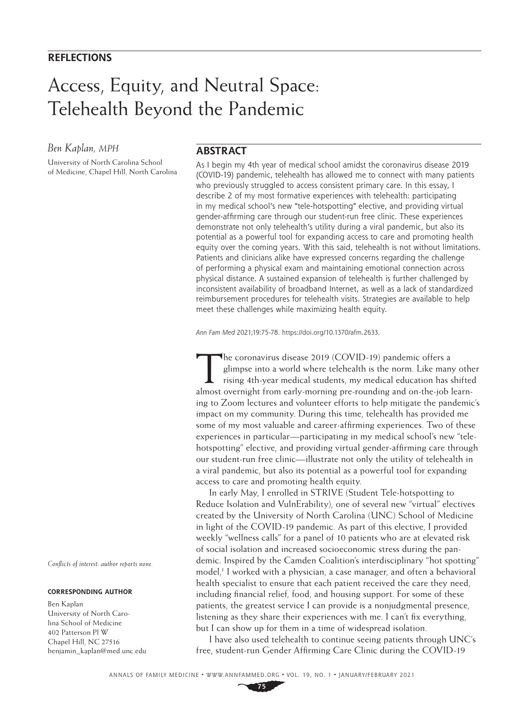## Access, Equity, and Neutral Space: Telehealth Beyond the Pandemic

#### *Ben Kaplan, MPH*

University of North Carolina School of Medicine, Chapel Hill, North Carolina

#### **ABSTRACT**

As I begin my 4th year of medical school amidst the coronavirus disease 2019 (COVID-19) pandemic, telehealth has allowed me to connect with many patients who previously struggled to access consistent primary care. In this essay, I describe 2 of my most formative experiences with telehealth: participating in my medical school's new "tele-hotspotting" elective, and providing virtual gender-affirming care through our student-run free clinic. These experiences demonstrate not only telehealth's utility during a viral pandemic, but also its potential as a powerful tool for expanding access to care and promoting health equity over the coming years. With this said, telehealth is not without limitations. Patients and clinicians alike have expressed concerns regarding the challenge of performing a physical exam and maintaining emotional connection across physical distance. A sustained expansion of telehealth is further challenged by inconsistent availability of broadband Internet, as well as a lack of standardized reimbursement procedures for telehealth visits. Strategies are available to help meet these challenges while maximizing health equity.

*Ann Fam Med* 2021;19:75-78. [https://doi.org/10.1370/afm.2633.](https://doi.org/10.1370/afm.2633)

The coronavirus disease 2019 (COVID-19) pandemic offers a glimpse into a world where telehealth is the norm. Like many rising 4th-year medical students, my medical education has solven to a present contract the students of glimpse into a world where telehealth is the norm. Like many other rising 4th-year medical students, my medical education has shifted almost overnight from early-morning pre-rounding and on-the-job learning to Zoom lectures and volunteer efforts to help mitigate the pandemic's impact on my community. During this time, telehealth has provided me some of my most valuable and career-affirming experiences. Two of these experiences in particular—participating in my medical school's new "telehotspotting" elective, and providing virtual gender-affirming care through our student-run free clinic—illustrate not only the utility of telehealth in a viral pandemic, but also its potential as a powerful tool for expanding access to care and promoting health equity.

In early May, I enrolled in STRIVE (Student Tele-hotspotting to Reduce Isolation and VulnErability), one of several new "virtual" electives created by the University of North Carolina (UNC) School of Medicine in light of the COVID-19 pandemic. As part of this elective, I provided weekly "wellness calls" for a panel of 10 patients who are at elevated risk of social isolation and increased socioeconomic stress during the pandemic. Inspired by the Camden Coalition's interdisciplinary "hot spotting" model,<sup>1</sup> I worked with a physician, a case manager, and often a behavioral health specialist to ensure that each patient received the care they need, including financial relief, food, and housing support. For some of these patients, the greatest service I can provide is a nonjudgmental presence, listening as they share their experiences with me. I can't fix everything, but I can show up for them in a time of widespread isolation.

I have also used telehealth to continue seeing patients through UNC's free, student-run Gender Affirming Care Clinic during the COVID-19

*Conflicts of interest: author reports none.*

#### **CORRESPONDING AUTHOR**

Ben Kaplan University of North Carolina School of Medicine 402 Patterson Pl W Chapel Hill, NC 27516 [benjamin\\_kaplan@med.unc.edu](mailto:benjamin_kaplan@med.unc.edu)

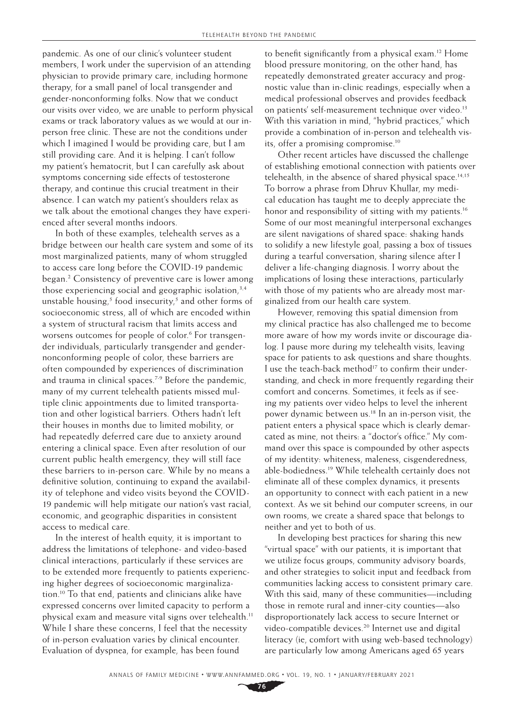pandemic. As one of our clinic's volunteer student members, I work under the supervision of an attending physician to provide primary care, including hormone therapy, for a small panel of local transgender and gender-nonconforming folks. Now that we conduct our visits over video, we are unable to perform physical exams or track laboratory values as we would at our inperson free clinic. These are not the conditions under which I imagined I would be providing care, but I am still providing care. And it is helping. I can't follow my patient's hematocrit, but I can carefully ask about symptoms concerning side effects of testosterone therapy, and continue this crucial treatment in their absence. I can watch my patient's shoulders relax as we talk about the emotional changes they have experienced after several months indoors.

In both of these examples, telehealth serves as a bridge between our health care system and some of its most marginalized patients, many of whom struggled to access care long before the COVID-19 pandemic began.2 Consistency of preventive care is lower among those experiencing social and geographic isolation, $3,4$ unstable housing,<sup>5</sup> food insecurity,<sup>5</sup> and other forms of socioeconomic stress, all of which are encoded within a system of structural racism that limits access and worsens outcomes for people of color.<sup>6</sup> For transgender individuals, particularly transgender and gendernonconforming people of color, these barriers are often compounded by experiences of discrimination and trauma in clinical spaces.<sup>7-9</sup> Before the pandemic, many of my current telehealth patients missed multiple clinic appointments due to limited transportation and other logistical barriers. Others hadn't left their houses in months due to limited mobility, or had repeatedly deferred care due to anxiety around entering a clinical space. Even after resolution of our current public health emergency, they will still face these barriers to in-person care. While by no means a definitive solution, continuing to expand the availability of telephone and video visits beyond the COVID-19 pandemic will help mitigate our nation's vast racial, economic, and geographic disparities in consistent access to medical care.

In the interest of health equity, it is important to address the limitations of telephone- and video-based clinical interactions, particularly if these services are to be extended more frequently to patients experiencing higher degrees of socioeconomic marginalization.10 To that end, patients and clinicians alike have expressed concerns over limited capacity to perform a physical exam and measure vital signs over telehealth.11 While I share these concerns, I feel that the necessity of in-person evaluation varies by clinical encounter. Evaluation of dyspnea, for example, has been found

to benefit significantly from a physical exam.12 Home blood pressure monitoring, on the other hand, has repeatedly demonstrated greater accuracy and prognostic value than in-clinic readings, especially when a medical professional observes and provides feedback on patients' self-measurement technique over video.<sup>13</sup> With this variation in mind, "hybrid practices," which provide a combination of in-person and telehealth visits, offer a promising compromise.10

Other recent articles have discussed the challenge of establishing emotional connection with patients over telehealth, in the absence of shared physical space.<sup>14,15</sup> To borrow a phrase from Dhruv Khullar, my medical education has taught me to deeply appreciate the honor and responsibility of sitting with my patients.<sup>16</sup> Some of our most meaningful interpersonal exchanges are silent navigations of shared space: shaking hands to solidify a new lifestyle goal, passing a box of tissues during a tearful conversation, sharing silence after I deliver a life-changing diagnosis. I worry about the implications of losing these interactions, particularly with those of my patients who are already most marginalized from our health care system.

However, removing this spatial dimension from my clinical practice has also challenged me to become more aware of how my words invite or discourage dialog. I pause more during my telehealth visits, leaving space for patients to ask questions and share thoughts. I use the teach-back method<sup>17</sup> to confirm their understanding, and check in more frequently regarding their comfort and concerns. Sometimes, it feels as if seeing my patients over video helps to level the inherent power dynamic between us.18 In an in-person visit, the patient enters a physical space which is clearly demarcated as mine, not theirs: a "doctor's office." My command over this space is compounded by other aspects of my identity: whiteness, maleness, cisgenderedness, able-bodiedness.19 While telehealth certainly does not eliminate all of these complex dynamics, it presents an opportunity to connect with each patient in a new context. As we sit behind our computer screens, in our own rooms, we create a shared space that belongs to neither and yet to both of us.

In developing best practices for sharing this new "virtual space" with our patients, it is important that we utilize focus groups, community advisory boards, and other strategies to solicit input and feedback from communities lacking access to consistent primary care. With this said, many of these communities—including those in remote rural and inner-city counties—also disproportionately lack access to secure Internet or video-compatible devices.<sup>20</sup> Internet use and digital literacy (ie, comfort with using web-based technology) are particularly low among Americans aged 65 years

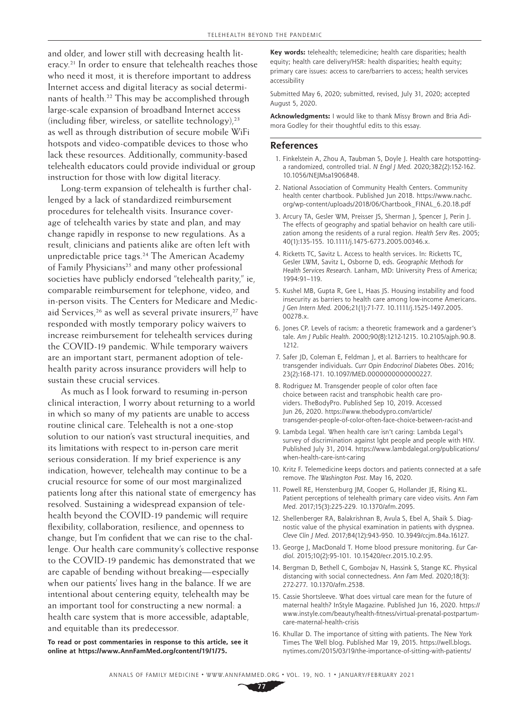and older, and lower still with decreasing health literacy.<sup>21</sup> In order to ensure that telehealth reaches those who need it most, it is therefore important to address Internet access and digital literacy as social determinants of health.<sup>22</sup> This may be accomplished through large-scale expansion of broadband Internet access (including fiber, wireless, or satellite technology), $23$ as well as through distribution of secure mobile WiFi hotspots and video-compatible devices to those who lack these resources. Additionally, community-based telehealth educators could provide individual or group instruction for those with low digital literacy.

Long-term expansion of telehealth is further challenged by a lack of standardized reimbursement procedures for telehealth visits. Insurance coverage of telehealth varies by state and plan, and may change rapidly in response to new regulations. As a result, clinicians and patients alike are often left with unpredictable price tags.<sup>24</sup> The American Academy of Family Physicians<sup>25</sup> and many other professional societies have publicly endorsed "telehealth parity," ie, comparable reimbursement for telephone, video, and in-person visits. The Centers for Medicare and Medicaid Services,<sup>26</sup> as well as several private insurers,<sup>27</sup> have responded with mostly temporary policy waivers to increase reimbursement for telehealth services during the COVID-19 pandemic. While temporary waivers are an important start, permanent adoption of telehealth parity across insurance providers will help to sustain these crucial services.

As much as I look forward to resuming in-person clinical interaction, I worry about returning to a world in which so many of my patients are unable to access routine clinical care. Telehealth is not a one-stop solution to our nation's vast structural inequities, and its limitations with respect to in-person care merit serious consideration. If my brief experience is any indication, however, telehealth may continue to be a crucial resource for some of our most marginalized patients long after this national state of emergency has resolved. Sustaining a widespread expansion of telehealth beyond the COVID-19 pandemic will require flexibility, collaboration, resilience, and openness to change, but I'm confident that we can rise to the challenge. Our health care community's collective response to the COVID-19 pandemic has demonstrated that we are capable of bending without breaking—especially when our patients' lives hang in the balance. If we are intentional about centering equity, telehealth may be an important tool for constructing a new normal: a health care system that is more accessible, adaptable, and equitable than its predecessor.

**To read or post commentaries in response to this article, see it online at [https://www.AnnFamMed.org/content/19/1/75.](https://www.Ann​Fam​Med.org/content/19/1/75)**

**Key words:** telehealth; telemedicine; health care disparities; health equity; health care delivery/HSR: health disparities; health equity; primary care issues: access to care/barriers to access; health services accessibility

Submitted May 6, 2020; submitted, revised, July 31, 2020; accepted August 5, 2020.

**Acknowledgments:** I would like to thank Missy Brown and Bria Adimora Godley for their thoughtful edits to this essay.

#### **References**

- 1. Finkelstein A, Zhou A, Taubman S, Doyle J. Health care hotspottinga randomized, controlled trial. *N Engl J Med*. 2020;382(2):152-162. 10.1056/NEJMsa1906848.
- 2. National Association of Community Health Centers. Community health center chartbook. Published Jun 2018. [https://www.nachc.](https://www.nachc.org/wp-content/uploads/2018/06/Chartbook_FINAL_6.20.18.pdf) [org/wp-content/uploads/2018/06/Chartbook\\_FINAL\\_6.20.18.pdf](https://www.nachc.org/wp-content/uploads/2018/06/Chartbook_FINAL_6.20.18.pdf)
- 3. Arcury TA, Gesler WM, Preisser JS, Sherman J, Spencer J, Perin J. The effects of geography and spatial behavior on health care utilization among the residents of a rural region. *Health Serv Res*. 2005; 40(1):135-155. 10.1111/j.1475-6773.2005.00346.x.
- 4. Ricketts TC, Savitz L. Access to health services. In: Ricketts TC, Gesler LWM, Savitz L, Osborne D, eds. *Geographic Methods for Health Services Research.* Lanham, MD: University Press of America; 1994:91–119.
- 5. Kushel MB, Gupta R, Gee L, Haas JS. Housing instability and food insecurity as barriers to health care among low-income Americans. *J Gen Intern Med*. 2006;21(1):71-77. 10.1111/j.1525-1497.2005. 00278.x.
- 6. Jones CP. Levels of racism: a theoretic framework and a gardener's tale. *Am J Public Health*. 2000;90(8):1212-1215. 10.2105/ajph.90.8. 1212.
- 7. Safer JD, Coleman E, Feldman J, et al. Barriers to healthcare for transgender individuals. *Curr Opin Endocrinol Diabetes Obes*. 2016; 23(2):168-171. 10.1097/MED.0000000000000227.
- 8. Rodriguez M. Transgender people of color often face choice between racist and transphobic health care providers. TheBodyPro. Published Sep 10, 2019. Accessed Jun 26, 2020. [https://www.thebodypro.com/article/](https://www.thebodypro.com/article/transgender-people-of-color-often-face-choice-between-racist-and) [transgender-people-of-color-often-face-choice-between-racist-and](https://www.thebodypro.com/article/transgender-people-of-color-often-face-choice-between-racist-and)
- 9. Lambda Legal. When health care isn't caring: Lambda Legal's survey of discrimination against lgbt people and people with HIV. Published July 31, 2014. [https://www.lambdalegal.org/publications/](https://​www.lambdalegal.org/publications/when-health-care-isnt-caring) [when-health-care-isnt-caring](https://​www.lambdalegal.org/publications/when-health-care-isnt-caring)
- 10. Kritz F. Telemedicine keeps doctors and patients connected at a safe remove. *The Washington Post*. May 16, 2020.
- 11. Powell RE, Henstenburg JM, Cooper G, Hollander JE, Rising KL. Patient perceptions of telehealth primary care video visits. *Ann Fam Med*. 2017;15(3):225-229. 10.1370/afm.2095.
- 12. Shellenberger RA, Balakrishnan B, Avula S, Ebel A, Shaik S. Diagnostic value of the physical examination in patients with dyspnea. *Cleve Clin J Med*. 2017;84(12):943-950. 10.3949/ccjm.84a.16127.
- 13. George J, MacDonald T. Home blood pressure monitoring. *Eur Cardiol*. 2015;10(2):95-101. 10.15420/ecr.2015.10.2.95.
- 14. Bergman D, Bethell C, Gombojav N, Hassink S, Stange KC. Physical distancing with social connectedness. *Ann Fam Med*. 2020;18(3): 272-277. 10.1370/afm.2538.
- 15. Cassie Shortsleeve. What does virtual care mean for the future of maternal health? InStyle Magazine. Published Jun 16, 2020. [https://](https://www.instyle.com/beauty/health-fitness/virtual-prenatal-postpartum-care-maternal-health-crisis) [www.instyle.com/beauty/health-fitness/virtual-prenatal-postpartum](https://www.instyle.com/beauty/health-fitness/virtual-prenatal-postpartum-care-maternal-health-crisis)[care-maternal-health-crisis](https://www.instyle.com/beauty/health-fitness/virtual-prenatal-postpartum-care-maternal-health-crisis)
- 16. Khullar D. The importance of sitting with patients. The New York Times The Well blog. Published Mar 19, 2015. [https://well.blogs.](https://​well.blogs.nytimes.com/2015/03/19/the-importance-of-sitting-with-patients/) [nytimes.com/2015/03/19/the-importance-of-sitting-with-patients/](https://​well.blogs.nytimes.com/2015/03/19/the-importance-of-sitting-with-patients/)